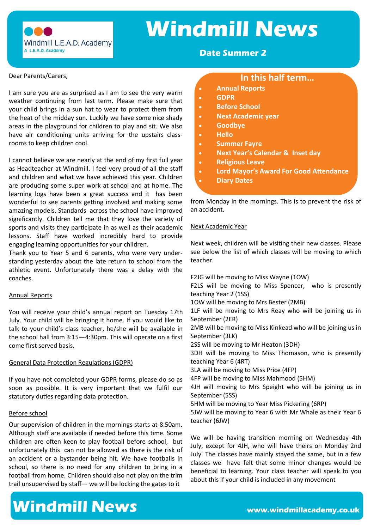

## **Windmill News**

#### **Date Summer 2**

#### Dear Parents/Carers,

I am sure you are as surprised as I am to see the very warm weather continuing from last term. Please make sure that your child brings in a sun hat to wear to protect them from the heat of the midday sun. Luckily we have some nice shady areas in the playground for children to play and sit. We also have air conditioning units arriving for the upstairs classrooms to keep children cool.

I cannot believe we are nearly at the end of my first full year as Headteacher at Windmill. I feel very proud of all the staff and children and what we have achieved this year. Children are producing some super work at school and at home. The learning logs have been a great success and it has been wonderful to see parents getting involved and making some amazing models. Standards across the school have improved significantly. Children tell me that they love the variety of sports and visits they participate in as well as their academic lessons. Staff have worked incredibly hard to provide engaging learning opportunities for your children.

Thank you to Year 5 and 6 parents, who were very understanding yesterday about the late return to school from the athletic event. Unfortunately there was a delay with the coaches.

#### Annual Reports

You will receive your child's annual report on Tuesday 17th July. Your child will be bringing it home. If you would like to talk to your child's class teacher, he/she will be available in the school hall from 3:15—4:30pm. This will operate on a first come first served basis.

#### General Data Protection Regulations (GDPR)

If you have not completed your GDPR forms, please do so as soon as possible. It is very important that we fulfil our statutory duties regarding data protection.

#### Before school

Our supervision of children in the mornings starts at 8:50am. Although staff are available if needed before this time. Some children are often keen to play football before school, but unfortunately this can not be allowed as there is the risk of an accident or a bystander being hit. We have footballs in school, so there is no need for any children to bring in a football from home. Children should also not play on the trim trail unsupervised by staff— we will be locking the gates to it

#### **In this half term…**

- **Annual Reports**
- **GDPR**
- **Before School**
- **Next Academic year**
- **Goodbye**
- **Hello**
- **Summer Fayre**
- **Next Year's Calendar & Inset day**
- **Religious Leave**
- **Lord Mayor's Award For Good Attendance**
- **Diary Dates**

from Monday in the mornings. This is to prevent the risk of an accident.

#### Next Academic Year

Next week, children will be visiting their new classes. Please see below the list of which classes will be moving to which teacher.

F2JG will be moving to Miss Wayne (1OW)

F2LS will be moving to Miss Spencer, who is presently teaching Year 2 (1SS)

1OW will be moving to Mrs Bester (2MB)

1LF will be moving to Mrs Reay who will be joining us in September (2ER)

2MB will be moving to Miss Kinkead who will be joining us in September (3LK)

2SS will be moving to Mr Heaton (3DH)

3DH will be moving to Miss Thomason, who is presently teaching Year 6 (4RT)

3LA will be moving to Miss Price (4FP)

4FP will be moving to Miss Mahmood (5HM)

4JH will moving to Mrs Speight who will be joining us in September (5SS)

5HM will be moving to Year Miss Pickering (6RP)

5JW will be moving to Year 6 with Mr Whale as their Year 6 teacher (6JW)

We will be having transition morning on Wednesday 4th July, except for 4JH, who will have theirs on Monday 2nd July. The classes have mainly stayed the same, but in a few classes we have felt that some minor changes would be beneficial to learning. Your class teacher will speak to you about this if your child is included in any movement

### **Windmill News www.windmillacademy.co.uk**